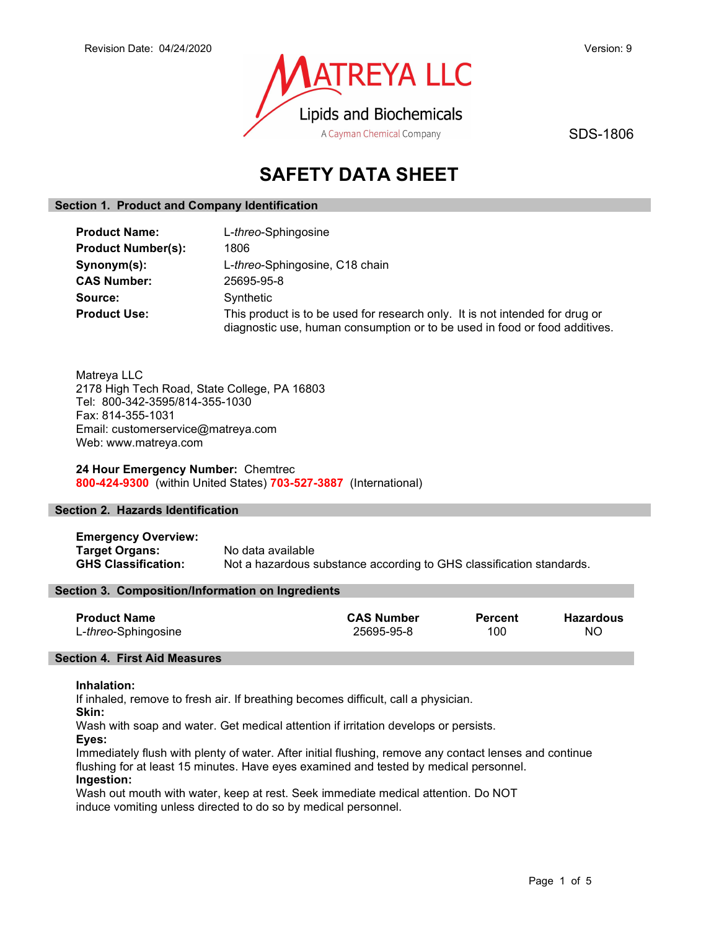

SDS-1806

# SAFETY DATA SHEET

## Section 1. Product and Company Identification

| <b>Product Name:</b>      | L- <i>threo</i> -Sphingosine                                                                                                                               |
|---------------------------|------------------------------------------------------------------------------------------------------------------------------------------------------------|
| <b>Product Number(s):</b> | 1806                                                                                                                                                       |
| Synonym(s):               | L-threo-Sphingosine, C18 chain                                                                                                                             |
| <b>CAS Number:</b>        | 25695-95-8                                                                                                                                                 |
| Source:                   | Synthetic                                                                                                                                                  |
| <b>Product Use:</b>       | This product is to be used for research only. It is not intended for drug or<br>diagnostic use, human consumption or to be used in food or food additives. |

Matreya LLC 2178 High Tech Road, State College, PA 16803 Tel: 800-342-3595/814-355-1030 Fax: 814-355-1031 Email: customerservice@matreya.com Web: www.matreya.com

24 Hour Emergency Number: Chemtrec 800-424-9300 (within United States) 703-527-3887 (International)

## Section 2. Hazards Identification

Emergency Overview: Target Organs: No data available GHS Classification: Not a hazardous substance according to GHS classification standards.

## Section 3. Composition/Information on Ingredients

| <b>Product Name</b> | <b>CAS Number</b> | <b>Percent</b> | Hazardous |
|---------------------|-------------------|----------------|-----------|
| L-threo-Sphingosine | 25695-95-8        | 100            | NO.       |

## Section 4. First Aid Measures

#### Inhalation:

If inhaled, remove to fresh air. If breathing becomes difficult, call a physician.

Skin:

Wash with soap and water. Get medical attention if irritation develops or persists.

Eyes:

Immediately flush with plenty of water. After initial flushing, remove any contact lenses and continue flushing for at least 15 minutes. Have eyes examined and tested by medical personnel. Ingestion:

Wash out mouth with water, keep at rest. Seek immediate medical attention. Do NOT induce vomiting unless directed to do so by medical personnel.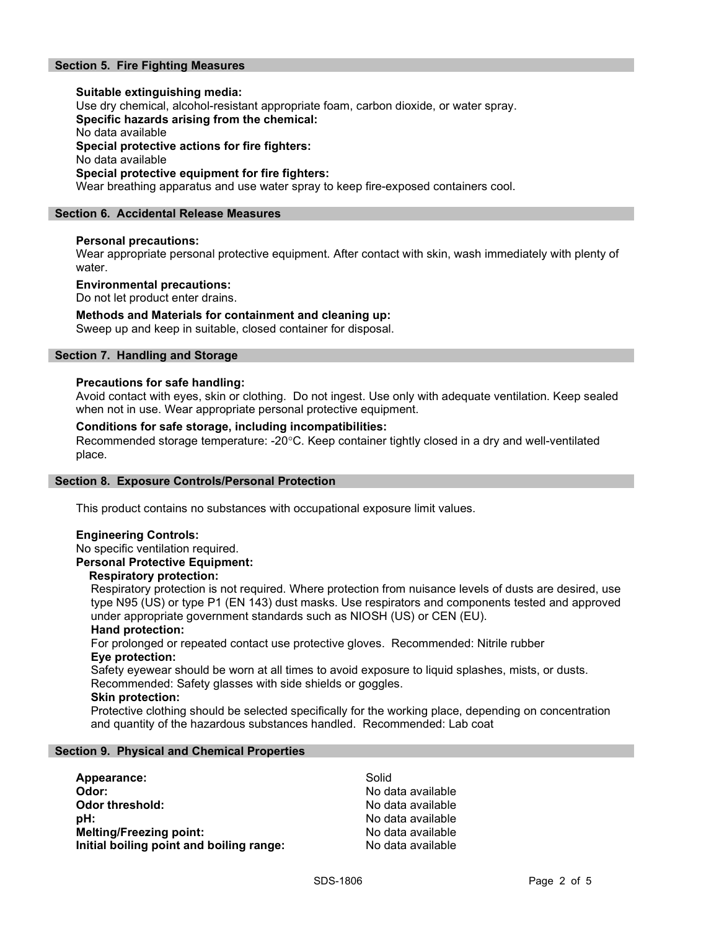## Section 5. Fire Fighting Measures

Suitable extinguishing media: Use dry chemical, alcohol-resistant appropriate foam, carbon dioxide, or water spray. Specific hazards arising from the chemical: No data available Special protective actions for fire fighters: No data available Special protective equipment for fire fighters: Wear breathing apparatus and use water spray to keep fire-exposed containers cool.

#### Section 6. Accidental Release Measures

#### Personal precautions:

Wear appropriate personal protective equipment. After contact with skin, wash immediately with plenty of water.

#### Environmental precautions:

Do not let product enter drains.

#### Methods and Materials for containment and cleaning up:

Sweep up and keep in suitable, closed container for disposal.

## Section 7. Handling and Storage

#### Precautions for safe handling:

Avoid contact with eyes, skin or clothing. Do not ingest. Use only with adequate ventilation. Keep sealed when not in use. Wear appropriate personal protective equipment.

#### Conditions for safe storage, including incompatibilities:

Recommended storage temperature: -20°C. Keep container tightly closed in a dry and well-ventilated place.

#### Section 8. Exposure Controls/Personal Protection

This product contains no substances with occupational exposure limit values.

## Engineering Controls:

No specific ventilation required.

## Personal Protective Equipment:

#### Respiratory protection:

Respiratory protection is not required. Where protection from nuisance levels of dusts are desired, use type N95 (US) or type P1 (EN 143) dust masks. Use respirators and components tested and approved under appropriate government standards such as NIOSH (US) or CEN (EU).

#### Hand protection:

For prolonged or repeated contact use protective gloves. Recommended: Nitrile rubber Eye protection:

Safety eyewear should be worn at all times to avoid exposure to liquid splashes, mists, or dusts. Recommended: Safety glasses with side shields or goggles.

#### Skin protection:

Protective clothing should be selected specifically for the working place, depending on concentration and quantity of the hazardous substances handled. Recommended: Lab coat

#### Section 9. Physical and Chemical Properties

| Appearance:                              | Solid             |
|------------------------------------------|-------------------|
| Odor:                                    | No data available |
| Odor threshold:                          | No data available |
| pH:                                      | No data available |
| <b>Melting/Freezing point:</b>           | No data available |
| Initial boiling point and boiling range: | No data available |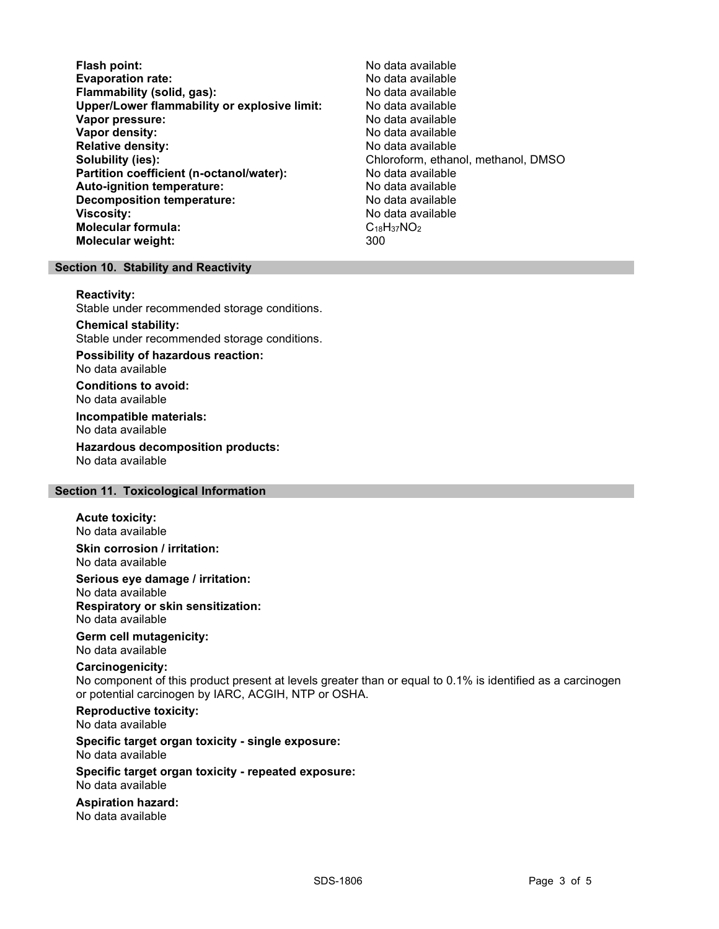Flash point:<br>
Evaporation rate: No data available<br>
No data available Evaporation rate:<br>
Flammability (solid. gas): No data available Flammability (solid, gas): Upper/Lower flammability or explosive limit: No data available Vapor pressure: No data available **Vapor density:** No data available in the set of the set of the No data available Relative density: No data available Solubility (ies): Chloroform, ethanol, methanol, DMSO Partition coefficient (n-octanol/water): No data available Auto-ignition temperature: No data available Decomposition temperature: **Viscosity:** No data available and the set of the set of the set of the set of the set of the set of the set of the set of the set of the set of the set of the set of the set of the set of the set of the set of the set of Molecular formula:<br>
Molecular weiaht: C18H37NO2<br>
Molecular weiaht: 300 Molecular weight:

## Section 10. Stability and Reactivity

#### Reactivity:

Stable under recommended storage conditions.

Chemical stability: Stable under recommended storage conditions.

Possibility of hazardous reaction: No data available

Conditions to avoid: No data available

Incompatible materials: No data available

Hazardous decomposition products: No data available

#### Section 11. Toxicological Information

#### Acute toxicity:

No data available Skin corrosion / irritation:

No data available

Serious eye damage / irritation:

No data available Respiratory or skin sensitization: No data available

## Germ cell mutagenicity:

No data available

## Carcinogenicity:

No component of this product present at levels greater than or equal to 0.1% is identified as a carcinogen or potential carcinogen by IARC, ACGIH, NTP or OSHA.

Reproductive toxicity: No data available

Specific target organ toxicity - single exposure: No data available

#### Specific target organ toxicity - repeated exposure: No data available

Aspiration hazard: No data available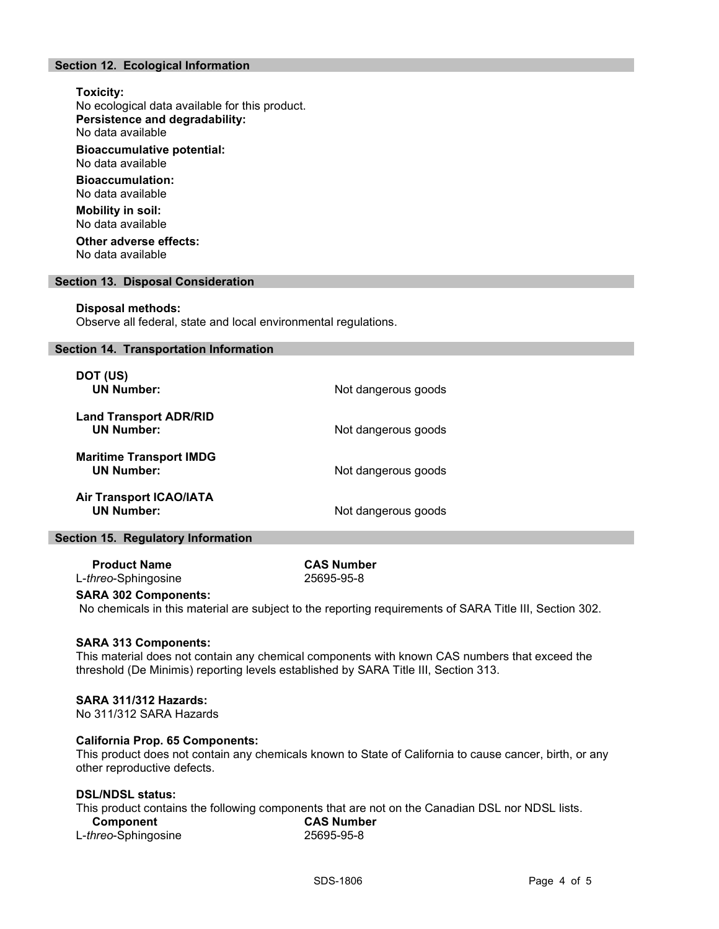## Section 12. Ecological Information

## Toxicity: No ecological data available for this product. Persistence and degradability: No data available Bioaccumulative potential:

No data available

Bioaccumulation: No data available

Mobility in soil: No data available

Other adverse effects: No data available

#### Section 13. Disposal Consideration

#### Disposal methods:

Observe all federal, state and local environmental regulations.

#### Section 14. Transportation Information

| DOT (US)<br><b>UN Number:</b>                       | Not dangerous goods |
|-----------------------------------------------------|---------------------|
| <b>Land Transport ADR/RID</b><br><b>UN Number:</b>  | Not dangerous goods |
| <b>Maritime Transport IMDG</b><br><b>UN Number:</b> | Not dangerous goods |
| <b>Air Transport ICAO/IATA</b><br><b>UN Number:</b> | Not dangerous goods |

#### Section 15. Regulatory Information

Product Name CAS Number L-threo-Sphingosine 25695-95-8

#### SARA 302 Components:

No chemicals in this material are subject to the reporting requirements of SARA Title III, Section 302.

#### SARA 313 Components:

This material does not contain any chemical components with known CAS numbers that exceed the threshold (De Minimis) reporting levels established by SARA Title III, Section 313.

#### SARA 311/312 Hazards:

No 311/312 SARA Hazards

#### California Prop. 65 Components:

This product does not contain any chemicals known to State of California to cause cancer, birth, or any other reproductive defects.

## DSL/NDSL status:

This product contains the following components that are not on the Canadian DSL nor NDSL lists.

| Component                    | <b>CAS Number</b> |  |
|------------------------------|-------------------|--|
| L- <i>threo</i> -Sphingosine | 25695-95-8        |  |